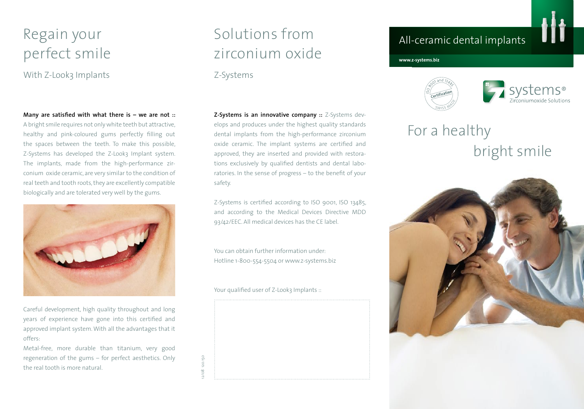### Regain your perfect smile

With Z-Look3 Implants

**Many are satisfied with what there is – we are not ::** 

A bright smile requires not only white teeth but attractive, healthy and pink-coloured gums perfectly filling out the spaces between the teeth. To make this possible, Z-Systems has developed the Z-Look3 Implant system. The implants, made from the high-performance zirconium oxide ceramic, are very similar to the condition of real teeth and tooth roots, they are excellently compatible biologically and are tolerated very well by the gums.



Careful development, high quality throughout and long years of experience have gone into this certified and approved implant system. With all the advantages that it offers:

Metal-free, more durable than titanium, very good regeneration of the gums – for perfect aesthetics. Only the real tooth is more natural.

# Solutions from zirconium oxide

#### Z-Systems

**Z-Systems is an innovative company ::** Z-Systems develops and produces under the highest quality standards dental implants from the high-performance zirconium oxide ceramic. The implant systems are certified and approved, they are inserted and provided with restorations exclusively by qualified dentists and dental laboratories. In the sense of progress – to the benefit of your safety.

Z-Systems is certified according to ISO 9001, ISO 13485, and according to the Medical Devices Directive MDD 93/42/EEC. All medical devices has the CE label.

You can obtain further information under: Hotline 1-800-554-5504 or www.z-systems.biz

Your qualified user of Z-Look3 Implants ::

12/08 120.150

120.150  $12/08$ 



### All-ceramic dental implants

**www.z-systems.biz**





# For a healthy bright smile